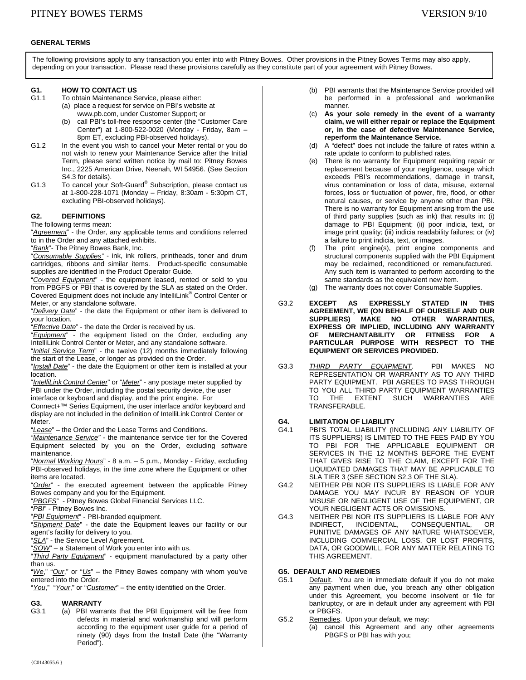### **GENERAL TERMS**

The following provisions apply to any transaction you enter into with Pitney Bowes. Other provisions in the Pitney Bowes Terms may also apply, depending on your transaction. Please read these provisions carefully as they constitute part of your agreement with Pitney Bowes.

# **G1. HOW TO CONTACT US**<br>**G1.1** To obtain Maintenance S

- To obtain Maintenance Service, please either: (a) place a request for service on PBI's website at www.pb.com, under Customer Support; or
	- (b) call PBI's toll-free response center (the "Customer Care Center") at 1-800-522-0020 (Monday - Friday, 8am – 8pm ET, excluding PBI-observed holidays).
- G1.2 In the event you wish to cancel your Meter rental or you do not wish to renew your Maintenance Service after the Initial Term, please send written notice by mail to: Pitney Bowes Inc., 2225 American Drive, Neenah, WI 54956. (See Section S4.3 for details).
- G1.3 To cancel your Soft-Guard<sup>®</sup> Subscription, please contact us at 1-800-228-1071 (Monday – Friday, 8:30am - 5:30pm CT, excluding PBI-observed holidays).

## **G2. DEFINITIONS**

The following terms mean:

"*Agreement*" - the Order, any applicable terms and conditions referred to in the Order and any attached exhibits.

"*Bank*"- The Pitney Bowes Bank, Inc.

"*Consumable Supplies"* - ink, ink rollers, printheads, toner and drum cartridges, ribbons and similar items. Product-specific consumable supplies are identified in the Product Operator Guide.

"*Covered Equipment*" - the equipment leased, rented or sold to you from PBGFS or PBI that is covered by the SLA as stated on the Order. Covered Equipment does not include any IntelliLink® Control Center or Meter, or any standalone software.

"*Delivery Date*" - the date the Equipment or other item is delivered to your location.

"*Effective Date*" - the date the Order is received by us.

"*Equipment*" - the equipment listed on the Order, excluding any IntelliLink Control Center or Meter, and any standalone software.

"*Initial Service Term*" - the twelve (12) months immediately following the start of the Lease, or longer as provided on the Order.

"*Install Date*" - the date the Equipment or other item is installed at your location.

"*IntelliLink Control Center*" or "*Meter*" - any postage meter supplied by PBI under the Order, including the postal security device, the user interface or keyboard and display, and the print engine. For

Connect+™ Series Equipment, the user interface and/or keyboard and display are not included in the definition of IntelliLink Control Center or Meter.

"*Lease*" – the Order and the Lease Terms and Conditions.

*"Maintenance Service"* - the maintenance service tier for the Covered Equipment selected by you on the Order, excluding software maintenance.

"*Normal Working Hours*" - 8 a.m. – 5 p.m., Monday - Friday, excluding PBI-observed holidays, in the time zone where the Equipment or other items are located.

"*Order*" - the executed agreement between the applicable Pitney Bowes company and you for the Equipment.

"*PBGFS*" - Pitney Bowes Global Financial Services LLC.

"*PBI*" - Pitney Bowes Inc.

"*PBI Equipment*" - PBI-branded equipment.

"*Shipment Date*" - the date the Equipment leaves our facility or our agent's facility for delivery to you.

"*SLA*" - the Service Level Agreement.

"*SOW*" – a Statement of Work you enter into with us.

"*Third Party Equipment*" - equipment manufactured by a party other than us.

"*We*," "*Our*," or "*Us*" – the Pitney Bowes company with whom you've entered into the Order.

"*You*," "*Your*," or "*Customer*" – the entity identified on the Order.

## **G3. WARRANTY**

G3.1 (a) PBI warrants that the PBI Equipment will be free from defects in material and workmanship and will perform according to the equipment user guide for a period of ninety (90) days from the Install Date (the "Warranty Period").

- (b) PBI warrants that the Maintenance Service provided will be performed in a professional and workmanlike manner.
- (c) **As your sole remedy in the event of a warranty claim, we will either repair or replace the Equipment or, in the case of defective Maintenance Service, reperform the Maintenance Service.**
- (d) A "defect" does not include the failure of rates within a rate update to conform to published rates.
- (e) There is no warranty for Equipment requiring repair or replacement because of your negligence, usage which exceeds PBI's recommendations, damage in transit, virus contamination or loss of data, misuse, external forces, loss or fluctuation of power, fire, flood, or other natural causes, or service by anyone other than PBI. There is no warranty for Equipment arising from the use of third party supplies (such as ink) that results in: (i) damage to PBI Equipment; (ii) poor indicia, text, or image print quality; (iii) indicia readability failures; or (iv) a failure to print indicia, text, or images.
- (f) The print engine(s), print engine components and structural components supplied with the PBI Equipment may be reclaimed, reconditioned or remanufactured. Any such item is warranted to perform according to the same standards as the equivalent new item.
- (g) The warranty does not cover Consumable Supplies.
- G3.2 **EXCEPT AS EXPRESSLY STATED IN THIS AGREEMENT, WE (ON BEHALF OF OURSELF AND OUR SUPPLIERS) MAKE NO OTHER WARRANTIES, EXPRESS OR IMPLIED, INCLUDING ANY WARRANTY OF MERCHANTABILITY OR FITNESS FOR A PARTICULAR PURPOSE WITH RESPECT TO THE EQUIPMENT OR SERVICES PROVIDED.**
- G3.3 *THIRD PARTY EQUIPMENT*. PBI MAKES NO REPRESENTATION OR WARRANTY AS TO ANY THIRD PARTY EQUIPMENT. PBI AGREES TO PASS THROUGH TO YOU ALL THIRD PARTY EQUIPMENT WARRANTIES TO THE EXTENT SUCH WARRANTIES ARE TRANSFERABLE.

# **G4. LIMITATION OF LIABILITY**

- PBI'S TOTAL LIABILITY (INCLUDING ANY LIABILITY OF ITS SUPPLIERS) IS LIMITED TO THE FEES PAID BY YOU TO PBI FOR THE APPLICABLE EQUIPMENT OR SERVICES IN THE 12 MONTHS BEFORE THE EVENT THAT GIVES RISE TO THE CLAIM, EXCEPT FOR THE LIQUIDATED DAMAGES THAT MAY BE APPLICABLE TO SLA TIER 3 (SEE SECTION S2.3 OF THE SLA).
- G4.2 NEITHER PBI NOR ITS SUPPLIERS IS LIABLE FOR ANY DAMAGE YOU MAY INCUR BY REASON OF YOUR MISUSE OR NEGLIGENT USE OF THE EQUIPMENT, OR YOUR NEGLIGENT ACTS OR OMISSIONS.
- G4.3 NEITHER PBI NOR ITS SUPPLIERS IS LIABLE FOR ANY INDIRECT, INCIDENTAL, CONSEQUENTIAL, OR PUNITIVE DAMAGES OF ANY NATURE WHATSOEVER, INCLUDING COMMERCIAL LOSS, OR LOST PROFITS, DATA, OR GOODWILL, FOR ANY MATTER RELATING TO THIS AGREEMENT.

## **G5. DEFAULT AND REMEDIES**

- G5.1 Default. You are in immediate default if you do not make any payment when due, you breach any other obligation under this Agreement, you become insolvent or file for bankruptcy, or are in default under any agreement with PBI or PBGFS.
- G5.2 Remedies. Upon your default, we may:
	- (a) cancel this Agreement and any other agreements PBGFS or PBI has with you;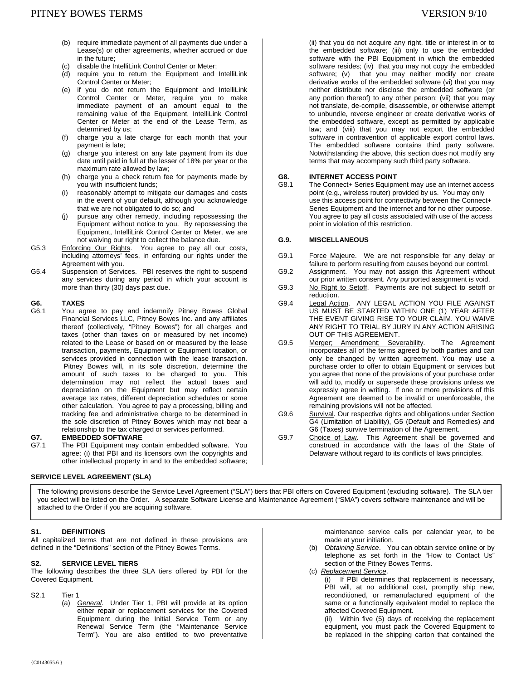- (b) require immediate payment of all payments due under a Lease(s) or other agreements, whether accrued or due in the future;
- (c) disable the IntelliLink Control Center or Meter;
- (d) require you to return the Equipment and IntelliLink Control Center or Meter;
- (e) if you do not return the Equipment and IntelliLink Control Center or Meter, require you to make immediate payment of an amount equal to the remaining value of the Equipment, IntelliLink Control Center or Meter at the end of the Lease Term, as determined by us;
- (f) charge you a late charge for each month that your payment is late;
- (g) charge you interest on any late payment from its due date until paid in full at the lesser of 18% per year or the maximum rate allowed by law;
- (h) charge you a check return fee for payments made by you with insufficient funds;
- (i) reasonably attempt to mitigate our damages and costs in the event of your default, although you acknowledge that we are not obligated to do so; and
- (j) pursue any other remedy, including repossessing the Equipment without notice to you. By repossessing the Equipment, IntelliLink Control Center or Meter, we are not waiving our right to collect the balance due.
- G5.3 Enforcing Our Rights. You agree to pay all our costs, including attorneys' fees, in enforcing our rights under the Agreement with you.
- G5.4 Suspension of Services. PBI reserves the right to suspend any services during any period in which your account is more than thirty (30) days past due.

# G6. **TAXES**<br>G6.1 You ad

You agree to pay and indemnify Pitney Bowes Global Financial Services LLC, Pitney Bowes Inc. and any affiliates thereof (collectively, "Pitney Bowes") for all charges and taxes (other than taxes on or measured by net income) related to the Lease or based on or measured by the lease transaction, payments, Equipment or Equipment location, or services provided in connection with the lease transaction. Pitney Bowes will, in its sole discretion, determine the amount of such taxes to be charged to you. This determination may not reflect the actual taxes and depreciation on the Equipment but may reflect certain average tax rates, different depreciation schedules or some other calculation. You agree to pay a processing, billing and tracking fee and administrative charge to be determined in the sole discretion of Pitney Bowes which may not bear a relationship to the tax charged or services performed.

## **G7. EMBEDDED SOFTWARE**<br>G7.1 The PBI Fquinment may o

The PBI Equipment may contain embedded software. You agree: (i) that PBI and its licensors own the copyrights and other intellectual property in and to the embedded software;

## **SERVICE LEVEL AGREEMENT (SLA)**

(ii) that you do not acquire any right, title or interest in or to the embedded software; (iii) only to use the embedded software with the PBI Equipment in which the embedded software resides; (iv) that you may not copy the embedded software; (v) that you may neither modify nor create derivative works of the embedded software (vi) that you may neither distribute nor disclose the embedded software (or any portion thereof) to any other person; (vii) that you may not translate, de-compile, disassemble, or otherwise attempt to unbundle, reverse engineer or create derivative works of the embedded software, except as permitted by applicable law; and (viii) that you may not export the embedded software in contravention of applicable export control laws. The embedded software contains third party software. Notwithstanding the above, this section does not modify any terms that may accompany such third party software.

#### **G8. INTERNET ACCESS POINT**

G8.1 The Connect+ Series Equipment may use an internet access point (e.g., wireless router) provided by us. You may only use this access point for connectivity between the Connect+ Series Equipment and the internet and for no other purpose. You agree to pay all costs associated with use of the access point in violation of this restriction.

#### **G.9. MISCELLANEOUS**

- G9.1 Force Majeure. We are not responsible for any delay or failure to perform resulting from causes beyond our control.
- G9.2 Assignment. You may not assign this Agreement without our prior written consent. Any purported assignment is void.
- G9.3 No Right to Setoff. Payments are not subject to setoff or reduction.
- G9.4 Legal Action. ANY LEGAL ACTION YOU FILE AGAINST US MUST BE STARTED WITHIN ONE (1) YEAR AFTER THE EVENT GIVING RISE TO YOUR CLAIM. YOU WAIVE ANY RIGHT TO TRIAL BY JURY IN ANY ACTION ARISING OUT OF THIS AGREEMENT.
- G9.5 Merger; Amendment; Severability. The Agreement incorporates all of the terms agreed by both parties and can only be changed by written agreement. You may use a purchase order to offer to obtain Equipment or services but you agree that none of the provisions of your purchase order will add to, modify or supersede these provisions unless we expressly agree in writing. If one or more provisions of this Agreement are deemed to be invalid or unenforceable, the remaining provisions will not be affected.
- G9.6 Survival. Our respective rights and obligations under Section G4 (Limitation of Liability), G5 (Default and Remedies) and G6 (Taxes) survive termination of the Agreement.
- G9.7 Choice of Law. This Agreement shall be governed and construed in accordance with the laws of the State of Delaware without regard to its conflicts of laws principles.

The following provisions describe the Service Level Agreement ("SLA") tiers that PBI offers on Covered Equipment (excluding software). The SLA tier you select will be listed on the Order. A separate Software License and Maintenance Agreement ("SMA") covers software maintenance and will be attached to the Order if you are acquiring software.

## **S1. DEFINITIONS**

All capitalized terms that are not defined in these provisions are defined in the "Definitions" section of the Pitney Bowes Terms.

#### **S2. SERVICE LEVEL TIERS**

The following describes the three SLA tiers offered by PBI for the Covered Equipment.

S2.1 Tier 1

 (a) *General*. Under Tier 1, PBI will provide at its option either repair or replacement services for the Covered Equipment during the Initial Service Term or any Renewal Service Term (the "Maintenance Service Term"). You are also entitled to two preventative

maintenance service calls per calendar year, to be made at your initiation.

- (b) *Obtaining Service*. You can obtain service online or by telephone as set forth in the "How to Contact Us" section of the Pitney Bowes Terms.
- (c) *Replacement Service*.

(i) If PBI determines that replacement is necessary, PBI will, at no additional cost, promptly ship new, reconditioned, or remanufactured equipment of the same or a functionally equivalent model to replace the affected Covered Equipment.

(ii) Within five (5) days of receiving the replacement equipment, you must pack the Covered Equipment to be replaced in the shipping carton that contained the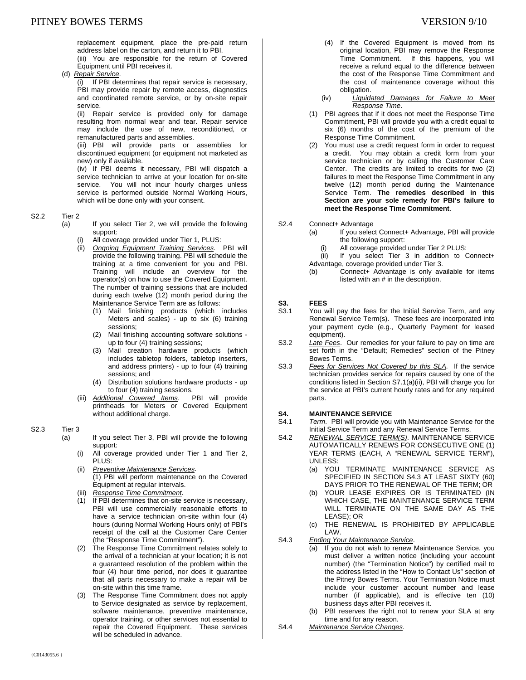replacement equipment, place the pre-paid return address label on the carton, and return it to PBI. (iii) You are responsible for the return of Covered

Equipment until PBI receives it.

(d) *Repair Service*.

(i) If PBI determines that repair service is necessary, PBI may provide repair by remote access, diagnostics and coordinated remote service, or by on-site repair service.

(ii) Repair service is provided only for damage resulting from normal wear and tear. Repair service may include the use of new, reconditioned, or remanufactured parts and assemblies.

(iii) PBI will provide parts or assemblies for discontinued equipment (or equipment not marketed as new) only if available.

(iv) If PBI deems it necessary, PBI will dispatch a service technician to arrive at your location for on-site service. You will not incur hourly charges unless service is performed outside Normal Working Hours, which will be done only with your consent.

#### S2.2 Tier 2

- (a) If you select Tier 2, we will provide the following support:
	- All coverage provided under Tier 1, PLUS:
	- (ii) *Ongoing Equipment Training Services*. PBI will provide the following training. PBI will schedule the training at a time convenient for you and PBI. Training will include an overview for the operator(s) on how to use the Covered Equipment. The number of training sessions that are included during each twelve (12) month period during the Maintenance Service Term are as follows:
		- (1) Mail finishing products (which includes Meters and scales) - up to six (6) training sessions;
		- (2) Mail finishing accounting software solutions up to four (4) training sessions;
		- (3) Mail creation hardware products (which includes tabletop folders, tabletop inserters, and address printers) - up to four (4) training sessions; and
		- (4) Distribution solutions hardware products up to four (4) training sessions.
	- (iii) *Additional Covered Items*. PBI will provide printheads for Meters or Covered Equipment without additional charge.

## S2.3 Tier 3

- (a) If you select Tier 3, PBI will provide the following support:
	- (i) All coverage provided under Tier 1 and Tier 2, PLUS:
	- (ii) *Preventive Maintenance Services*. (1) PBI will perform maintenance on the Covered Equipment at regular intervals.
	- (iii) *Response Time Commitment*.
	- (1) If PBI determines that on-site service is necessary, PBI will use commercially reasonable efforts to have a service technician on-site within four (4) hours (during Normal Working Hours only) of PBI's receipt of the call at the Customer Care Center (the "Response Time Commitment").
	- (2) The Response Time Commitment relates solely to the arrival of a technician at your location; it is not a guaranteed resolution of the problem within the four (4) hour time period, nor does it guarantee that all parts necessary to make a repair will be on-site within this time frame.
	- (3) The Response Time Commitment does not apply to Service designated as service by replacement, software maintenance, preventive maintenance, operator training, or other services not essential to repair the Covered Equipment. These services will be scheduled in advance.
- (4) If the Covered Equipment is moved from its original location, PBI may remove the Response Time Commitment. If this happens, you will receive a refund equal to the difference between the cost of the Response Time Commitment and the cost of maintenance coverage without this obligation.
- (iv) *Liquidated Damages for Failure to Meet Response Time*.
- (1) PBI agrees that if it does not meet the Response Time Commitment, PBI will provide you with a credit equal to six (6) months of the cost of the premium of the Response Time Commitment.
- (2) You must use a credit request form in order to request a credit. You may obtain a credit form from your service technician or by calling the Customer Care Center. The credits are limited to credits for two (2) failures to meet the Response Time Commitment in any twelve (12) month period during the Maintenance Service Term. **The remedies described in this Section are your sole remedy for PBI's failure to meet the Response Time Commitment**.

#### S2.4 Connect+ Advantage

- (a) If you select Connect+ Advantage, PBI will provide the following support:
	- (i) All coverage provided under Tier 2 PLUS:
- (ii) If you select Tier 3 in addition to Connect+ Advantage, coverage provided under Tier 3.
- (b) Connect+ Advantage is only available for items listed with an # in the description.

# **S3. FEES**<br>S3.1 You v

- You will pay the fees for the Initial Service Term, and any Renewal Service Term(s). These fees are incorporated into your payment cycle (e.g., Quarterly Payment for leased equipment).
- S3.2 *Late Fees*. Our remedies for your failure to pay on time are set forth in the "Default; Remedies" section of the Pitney Bowes Terms.
- S3.3 *Fees for Services Not Covered by this SLA.* If the service technician provides service for repairs caused by one of the conditions listed in Section S7.1(a)(ii), PBI will charge you for the service at PBI's current hourly rates and for any required parts.

#### **S4. MAINTENANCE SERVICE**

- S4.1 *Term*. PBI will provide you with Maintenance Service for the Initial Service Term and any Renewal Service Terms.
- S4.2 *RENEWAL SERVICE TERM(S)*. MAINTENANCE SERVICE AUTOMATICALLY RENEWS FOR CONSECUTIVE ONE (1) YEAR TERMS (EACH, A "RENEWAL SERVICE TERM"), UNLESS:
	- (a) YOU TERMINATE MAINTENANCE SERVICE AS SPECIFIED IN SECTION S4.3 AT LEAST SIXTY (60) DAYS PRIOR TO THE RENEWAL OF THE TERM; OR
	- (b) YOUR LEASE EXPIRES OR IS TERMINATED (IN WHICH CASE, THE MAINTENANCE SERVICE TERM WILL TERMINATE ON THE SAME DAY AS THE LEASE); OR
	- (c) THE RENEWAL IS PROHIBITED BY APPLICABLE LAW.
- S4.3 *Ending Your Maintenance Service*.
	- (a) If you do not wish to renew Maintenance Service, you must deliver a written notice (including your account number) (the "Termination Notice") by certified mail to the address listed in the "How to Contact Us" section of the Pitney Bowes Terms. Your Termination Notice must include your customer account number and lease number (if applicable), and is effective ten (10) business days after PBI receives it.
		- (b) PBI reserves the right not to renew your SLA at any time and for any reason.
- S4.4 *Maintenance Service Changes*.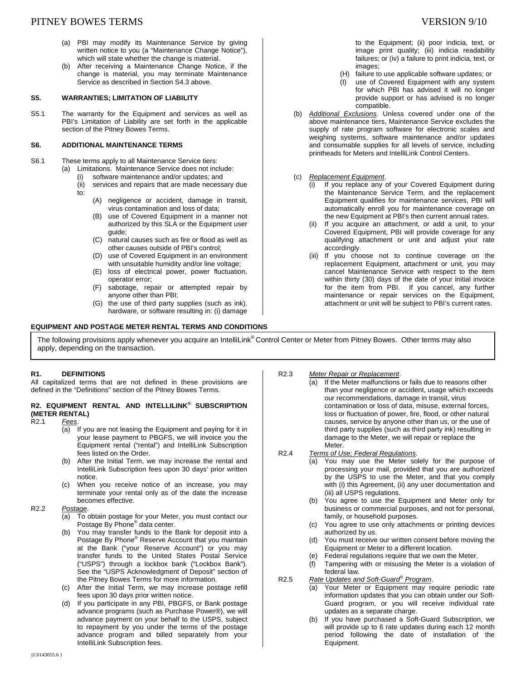- (a) PBI may modify its Maintenance Service by giving written notice to you (a "Maintenance Change Notice"), which will state whether the change is material.
- (b) After receiving a Maintenance Change Notice, if the change is material, you may terminate Maintenance Service as described in Section S4.3 above.

#### **S5. WARRANTIES; LIMITATION OF LIABILITY**

S5.1 The warranty for the Equipment and services as well as PBI's Limitation of Liability are set forth in the applicable section of the Pitney Bowes Terms.

#### **S6. ADDITIONAL MAINTENANCE TERMS**

- S6.1 These terms apply to all Maintenance Service tiers: (a) Limitations. Maintenance Service does not include:
	- (i) software maintenance and/or updates; and
	- (ii) services and repairs that are made necessary due to:
		- (A) negligence or accident, damage in transit, virus contamination and loss of data;
		- (B) use of Covered Equipment in a manner not authorized by this SLA or the Equipment user guide;
		- (C) natural causes such as fire or flood as well as other causes outside of PBI's control;
		- (D) use of Covered Equipment in an environment with unsuitable humidity and/or line voltage;
		- (E) loss of electrical power, power fluctuation, operator error;
		- (F) sabotage, repair or attempted repair by anyone other than PBI;
		- (G) the use of third party supplies (such as ink), hardware, or software resulting in: (i) damage

#### **EQUIPMENT AND POSTAGE METER RENTAL TERMS AND CONDITIONS**

to the Equipment; (ii) poor indicia, text, or image print quality; (iii) indicia readability failures; or (iv) a failure to print indicia, text, or images;

- (H) failure to use applicable software updates; or
- (I) use of Covered Equipment with any system for which PBI has advised it will no longer provide support or has advised is no longer compatible.
- (b) *Additional Exclusions*. Unless covered under one of the above maintenance tiers, Maintenance Service excludes the supply of rate program software for electronic scales and weighing systems, software maintenance and/or updates and consumable supplies for all levels of service, including printheads for Meters and IntelliLink Control Centers.
- (c) *Replacement Equipment*.
	- (i) If you replace any of your Covered Equipment during the Maintenance Service Term, and the replacement Equipment qualifies for maintenance services, PBI will automatically enroll you for maintenance coverage on the new Equipment at PBI's then current annual rates.
	- If you acquire an attachment, or add a unit, to your Covered Equipment, PBI will provide coverage for any qualifying attachment or unit and adjust your rate accordingly.
	- (iii) If you choose not to continue coverage on the replacement Equipment, attachment or unit, you may cancel Maintenance Service with respect to the item within thirty (30) days of the date of your initial invoice for the item from PBI. If you cancel, any further maintenance or repair services on the Equipment, attachment or unit will be subject to PBI's current rates.

The following provisions apply whenever you acquire an IntelliLink® Control Center or Meter from Pitney Bowes. Other terms may also apply, depending on the transaction.

#### **R1. DEFINITIONS**

All capitalized terms that are not defined in these provisions are defined in the "Definitions" section of the Pitney Bowes Terms.

## **R2. EQUIPMENT RENTAL AND INTELLILINK® SUBSCRIPTION (METER RENTAL)**

- R2.1 *Fees*.
	- (a) If you are not leasing the Equipment and paying for it in your lease payment to PBGFS, we will invoice you the Equipment rental ("rental") and IntelliLink Subscription fees listed on the Order.
	- (b) After the Initial Term, we may increase the rental and IntelliLink Subscription fees upon 30 days' prior written notice.
	- (c) When you receive notice of an increase, you may terminate your rental only as of the date the increase becomes effective.

#### R2.2 *Postage*.

- (a) To obtain postage for your Meter, you must contact our Postage By Phone® data center.
- (b) You may transfer funds to the Bank for deposit into a Postage By Phone<sup>®</sup> Reserve Account that you maintain at the Bank ("your Reserve Account") or you may transfer funds to the United States Postal Service ("USPS") through a lockbox bank ("Lockbox Bank"). See the "USPS Acknowledgment of Deposit" section of the Pitney Bowes Terms for more information.
- (c) After the Initial Term, we may increase postage refill fees upon 30 days prior written notice.
- (d) If you participate in any PBI, PBGFS, or Bank postage advance programs (such as Purchase Power®), we will advance payment on your behalf to the USPS, subject to repayment by you under the terms of the postage advance program and billed separately from your IntelliLink Subscription fees.

#### R2.3 *Meter Repair or Replacement*.

- (a) If the Meter malfunctions or fails due to reasons other than your negligence or accident, usage which exceeds our recommendations, damage in transit, virus contamination or loss of data, misuse, external forces, loss or fluctuation of power, fire, flood, or other natural causes, service by anyone other than us, or the use of third party supplies (such as third party ink) resulting in damage to the Meter, we will repair or replace the **Meter**
- R2.4 *Terms of Use; Federal Regulations*.
	- (a) You may use the Meter solely for the purpose of processing your mail, provided that you are authorized by the USPS to use the Meter, and that you comply with (i) this Agreement, (ii) any user documentation and (iii) all USPS regulations.
		- (b) You agree to use the Equipment and Meter only for business or commercial purposes, and not for personal, family, or household purposes.
	- (c) You agree to use only attachments or printing devices authorized by us.
	- (d) You must receive our written consent before moving the Equipment or Meter to a different location.
	- (e) Federal regulations require that we own the Meter.
	- (f) Tampering with or misusing the Meter is a violation of federal law.
- R2.5 *Rate Updates and Soft-Guard® Program*.
	- (a) Your Meter or Equipment may require periodic rate information updates that you can obtain under our Soft-Guard program, or you will receive individual rate updates as a separate charge.
	- If you have purchased a Soft-Guard Subscription, we will provide up to 6 rate updates during each 12 month period following the date of installation of the Equipment.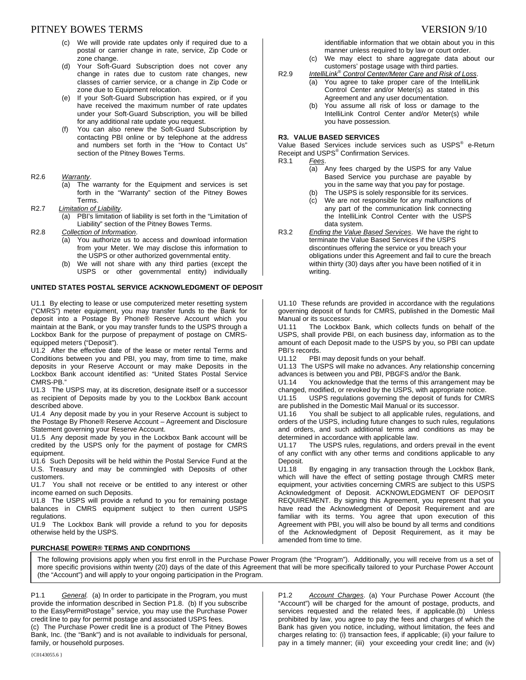## PITNEY BOWES TERMS SERVERS FOR A SERVERSION 9/10

- (c) We will provide rate updates only if required due to a postal or carrier change in rate, service, Zip Code or zone change.
- (d) Your Soft-Guard Subscription does not cover any change in rates due to custom rate changes, new classes of carrier service, or a change in Zip Code or zone due to Equipment relocation.
- (e) If your Soft-Guard Subscription has expired, or if you have received the maximum number of rate updates under your Soft-Guard Subscription, you will be billed for any additional rate update you request.
- (f) You can also renew the Soft-Guard Subscription by contacting PBI online or by telephone at the address and numbers set forth in the "How to Contact Us" section of the Pitney Bowes Terms.
- R2.6 *Warranty*.
	- (a) The warranty for the Equipment and services is set forth in the "Warranty" section of the Pitney Bowes Terms.
- R2.7 *Limitation of Liability*.
	- (a) PBI's limitation of liability is set forth in the "Limitation of Liability" section of the Pitney Bowes Terms.
- R2.8 *Collection of Information*.
	- (a) You authorize us to access and download information from your Meter. We may disclose this information to the USPS or other authorized governmental entity.
	- (b) We will not share with any third parties (except the USPS or other governmental entity) individually

## **UNITED STATES POSTAL SERVICE ACKNOWLEDGMENT OF DEPOSIT**

U1.1 By electing to lease or use computerized meter resetting system ("CMRS") meter equipment, you may transfer funds to the Bank for deposit into a Postage By Phone® Reserve Account which you maintain at the Bank, or you may transfer funds to the USPS through a Lockbox Bank for the purpose of prepayment of postage on CMRSequipped meters ("Deposit").

U1.2 After the effective date of the lease or meter rental Terms and Conditions between you and PBI, you may, from time to time, make deposits in your Reserve Account or may make Deposits in the Lockbox Bank account identified as: "United States Postal Service CMRS-PB."

U1.3 The USPS may, at its discretion, designate itself or a successor as recipient of Deposits made by you to the Lockbox Bank account described above.

U1.4 Any deposit made by you in your Reserve Account is subject to the Postage By Phone® Reserve Account – Agreement and Disclosure Statement governing your Reserve Account.

U1.5 Any deposit made by you in the Lockbox Bank account will be credited by the USPS only for the payment of postage for CMRS equipment.

U1.6 Such Deposits will be held within the Postal Service Fund at the U.S. Treasury and may be commingled with Deposits of other customers.

U1.7 You shall not receive or be entitled to any interest or other income earned on such Deposits.

U1.8 The USPS will provide a refund to you for remaining postage balances in CMRS equipment subject to then current USPS regulations.

U1.9 The Lockbox Bank will provide a refund to you for deposits otherwise held by the USPS.

## **PURCHASE POWER® TERMS AND CONDITIONS**

identifiable information that we obtain about you in this manner unless required to by law or court order.

- (c) We may elect to share aggregate data about our customers' postage usage with third parties.
- R2.9 *IntelliLink® Control Center/Meter Care and Risk of Loss*.
	- (a) You agree to take proper care of the IntelliLink Control Center and/or Meter(s) as stated in this Agreement and any user documentation.
	- (b) You assume all risk of loss or damage to the IntelliLink Control Center and/or Meter(s) while you have possession.

## **R3. VALUE BASED SERVICES**

Value Based Services include services such as USPS<sup>®</sup> e-Return Receipt and USPS<sup>®</sup> Confirmation Services.

- R3.1 *Fees*.
	- (a) Any fees charged by the USPS for any Value Based Service you purchase are payable by you in the same way that you pay for postage.
	- (b) The USPS is solely responsible for its services. (c) We are not responsible for any malfunctions of any part of the communication link connecting the IntelliLink Control Center with the USPS data system.
- R3.2 *Ending the Value Based Services*. We have the right to terminate the Value Based Services if the USPS discontinues offering the service or you breach your obligations under this Agreement and fail to cure the breach within thirty (30) days after you have been notified of it in writing.

U1.10 These refunds are provided in accordance with the regulations governing deposit of funds for CMRS, published in the Domestic Mail Manual or its successor.<br>U1.11 The Lockbox

The Lockbox Bank, which collects funds on behalf of the USPS, shall provide PBI, on each business day, information as to the amount of each Deposit made to the USPS by you, so PBI can update PBI's records.<br>U1.12 PBI

PBI may deposit funds on your behalf.

U1.13 The USPS will make no advances. Any relationship concerning advances is between you and PBI, PBGFS and/or the Bank.

U1.14 You acknowledge that the terms of this arrangement may be changed, modified, or revoked by the USPS, with appropriate notice.

U1.15 USPS regulations governing the deposit of funds for CMRS are published in the Domestic Mail Manual or its successor.<br>U1.16 You shall be subject to all applicable rules. regul

You shall be subject to all applicable rules, regulations, and orders of the USPS, including future changes to such rules, regulations and orders, and such additional terms and conditions as may be determined in accordance with applicable law.

U1.17 The USPS rules, regulations, and orders prevail in the event of any conflict with any other terms and conditions applicable to any Deposit.

U1.18 By engaging in any transaction through the Lockbox Bank, which will have the effect of setting postage through CMRS meter equipment, your activities concerning CMRS are subject to this USPS Acknowledgment of Deposit. ACKNOWLEDGMENT OF DEPOSIT REQUIREMENT. By signing this Agreement, you represent that you have read the Acknowledgment of Deposit Requirement and are familiar with its terms. You agree that upon execution of this Agreement with PBI, you will also be bound by all terms and conditions of the Acknowledgment of Deposit Requirement, as it may be amended from time to time.

The following provisions apply when you first enroll in the Purchase Power Program (the "Program"). Additionally, you will receive from us a set of more specific provisions within twenty (20) days of the date of this Agreement that will be more specifically tailored to your Purchase Power Account (the "Account") and will apply to your ongoing participation in the Program.

P1.1 *General.* (a) In order to participate in the Program, you must provide the information described in Section P1.8. (b) If you subscribe to the EasyPermitPostage® service, you may use the Purchase Power credit line to pay for permit postage and associated USPS fees.

(c) The Purchase Power credit line is a product of The Pitney Bowes Bank, Inc. (the "Bank") and is not available to individuals for personal, family, or household purposes.

P1.2 *Account Charges*. (a) Your Purchase Power Account (the "Account") will be charged for the amount of postage, products, and services requested and the related fees, if applicable.(b) Unless prohibited by law, you agree to pay the fees and charges of which the Bank has given you notice, including, without limitation, the fees and charges relating to: (i) transaction fees, if applicable; (ii) your failure to pay in a timely manner; (iii) your exceeding your credit line; and (iv)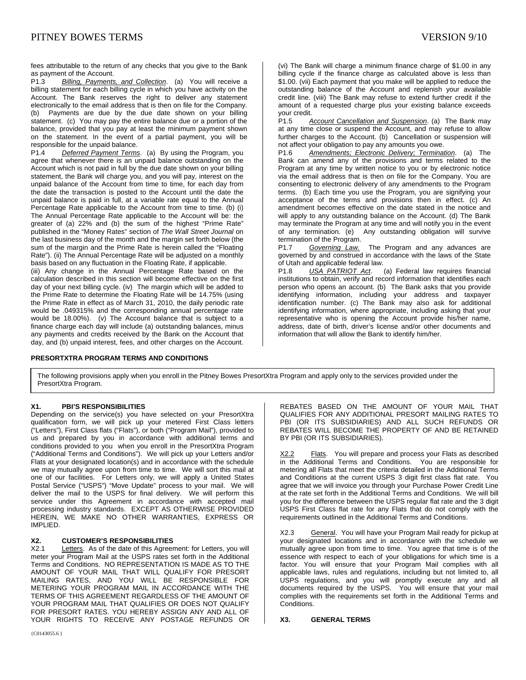fees attributable to the return of any checks that you give to the Bank as payment of the Account.<br>P1.3 Billing, Payments

Billing, Payments, and Collection. (a) You will receive a billing statement for each billing cycle in which you have activity on the Account. The Bank reserves the right to deliver any statement electronically to the email address that is then on file for the Company. (b) Payments are due by the due date shown on your billing statement. (c) You may pay the entire balance due or a portion of the balance, provided that you pay at least the minimum payment shown on the statement. In the event of a partial payment, you will be

responsible for the unpaid balance.<br>P1.4 Deferred Payment Terms **Deferred Payment Terms.** (a) By using the Program, you agree that whenever there is an unpaid balance outstanding on the Account which is not paid in full by the due date shown on your billing statement, the Bank will charge you, and you will pay, interest on the unpaid balance of the Account from time to time, for each day from the date the transaction is posted to the Account until the date the unpaid balance is paid in full, at a variable rate equal to the Annual Percentage Rate applicable to the Account from time to time. (b) (i) The Annual Percentage Rate applicable to the Account will be: the greater of (a) 22% and (b) the sum of the highest "Prime Rate" published in the "Money Rates" section of *The Wall Street Journal* on the last business day of the month and the margin set forth below (the sum of the margin and the Prime Rate is herein called the "Floating Rate"). (ii) The Annual Percentage Rate will be adjusted on a monthly basis based on any fluctuation in the Floating Rate, if applicable.

(iii) Any change in the Annual Percentage Rate based on the calculation described in this section will become effective on the first day of your next billing cycle. (iv) The margin which will be added to the Prime Rate to determine the Floating Rate will be 14.75% (using the Prime Rate in effect as of March 31, 2010, the daily periodic rate would be .049315% and the corresponding annual percentage rate would be 18.00%). (v) The Account balance that is subject to a finance charge each day will include (a) outstanding balances, minus any payments and credits received by the Bank on the Account that day, and (b) unpaid interest, fees, and other charges on the Account.

#### **PRESORTXTRA PROGRAM TERMS AND CONDITIONS**

(vi) The Bank will charge a minimum finance charge of \$1.00 in any billing cycle if the finance charge as calculated above is less than \$1.00. (vii) Each payment that you make will be applied to reduce the outstanding balance of the Account and replenish your available credit line. (viii) The Bank may refuse to extend further credit if the amount of a requested charge plus your existing balance exceeds your credit.<br>P1.5 A

Account Cancellation and Suspension. (a) The Bank may at any time close or suspend the Account, and may refuse to allow further charges to the Account. (b) Cancellation or suspension will not affect your obligation to pay any amounts you owe.

P1.6 *Amendments; Electronic Delivery; Termination*. (a) The Bank can amend any of the provisions and terms related to the Program at any time by written notice to you or by electronic notice via the email address that is then on file for the Company. You are consenting to electronic delivery of any amendments to the Program terms. (b) Each time you use the Program, you are signifying your acceptance of the terms and provisions then in effect. (c) An amendment becomes effective on the date stated in the notice and will apply to any outstanding balance on the Account. (d) The Bank may terminate the Program at any time and will notify you in the event of any termination. (e) Any outstanding obligation will survive

termination of the Program.<br>P1.7 Governing Law. P1.7 *Governing Law.* The Program and any advances are governed by and construed in accordance with the laws of the State of Utah and applicable federal law.<br>P1.8 USA PATRIOT Act.

P1.8 *USA PATRIOT Act*. (a) Federal law requires financial institutions to obtain, verify and record information that identifies each person who opens an account. (b) The Bank asks that you provide identifying information, including your address and taxpayer identification number. (c) The Bank may also ask for additional identifying information, where appropriate, including asking that your representative who is opening the Account provide his/her name, address, date of birth, driver's license and/or other documents and information that will allow the Bank to identify him/her.

The following provisions apply when you enroll in the Pitney Bowes PresortXtra Program and apply only to the services provided under the PresortXtra Program.

#### **X1. PBI'S RESPONSIBILITIES**

Depending on the service(s) you have selected on your PresortXtra qualification form, we will pick up your metered First Class letters ("Letters"), First Class flats ("Flats"), or both ("Program Mail"), provided to us and prepared by you in accordance with additional terms and conditions provided to you when you enroll in the PresortXtra Program ("Additional Terms and Conditions"). We will pick up your Letters and/or Flats at your designated location(s) and in accordance with the schedule we may mutually agree upon from time to time. We will sort this mail at one of our facilities. For Letters only, we will apply a United States Postal Service ("USPS") "Move Update" process to your mail. We will deliver the mail to the USPS for final delivery. We will perform this service under this Agreement in accordance with accepted mail processing industry standards. EXCEPT AS OTHERWISE PROVIDED HEREIN, WE MAKE NO OTHER WARRANTIES, EXPRESS OR IMPLIED.

#### **X2. CUSTOMER'S RESPONSIBILITIES**

X2.1 Letters. As of the date of this Agreement: for Letters, you will meter your Program Mail at the USPS rates set forth in the Additional Terms and Conditions. NO REPRESENTATION IS MADE AS TO THE AMOUNT OF YOUR MAIL THAT WILL QUALIFY FOR PRESORT MAILING RATES, AND YOU WILL BE RESPONSIBLE FOR METERING YOUR PROGRAM MAIL IN ACCORDANCE WITH THE TERMS OF THIS AGREEMENT REGARDLESS OF THE AMOUNT OF YOUR PROGRAM MAIL THAT QUALIFIES OR DOES NOT QUALIFY FOR PRESORT RATES. YOU HEREBY ASSIGN ANY AND ALL OF YOUR RIGHTS TO RECEIVE ANY POSTAGE REFUNDS OR

REBATES BASED ON THE AMOUNT OF YOUR MAIL THAT QUALIFIES FOR ANY ADDITIONAL PRESORT MAILING RATES TO PBI (OR ITS SUBSIDIARIES) AND ALL SUCH REFUNDS OR REBATES WILL BECOME THE PROPERTY OF AND BE RETAINED BY PBI (OR ITS SUBSIDIARIES).

X2.2 Flats. You will prepare and process your Flats as described in the Additional Terms and Conditions. You are responsible for metering all Flats that meet the criteria detailed in the Additional Terms and Conditions at the current USPS 3 digit first class flat rate. You agree that we will invoice you through your Purchase Power Credit Line at the rate set forth in the Additional Terms and Conditions. We will bill you for the difference between the USPS regular flat rate and the 3 digit USPS First Class flat rate for any Flats that do not comply with the requirements outlined in the Additional Terms and Conditions.

X2.3 General. You will have your Program Mail ready for pickup at your designated locations and in accordance with the schedule we mutually agree upon from time to time. You agree that time is of the essence with respect to each of your obligations for which time is a factor. You will ensure that your Program Mail complies with all applicable laws, rules and regulations, including but not limited to, all USPS regulations, and you will promptly execute any and all documents required by the USPS. You will ensure that your mail complies with the requirements set forth in the Additional Terms and Conditions.

#### **X3. GENERAL TERMS**